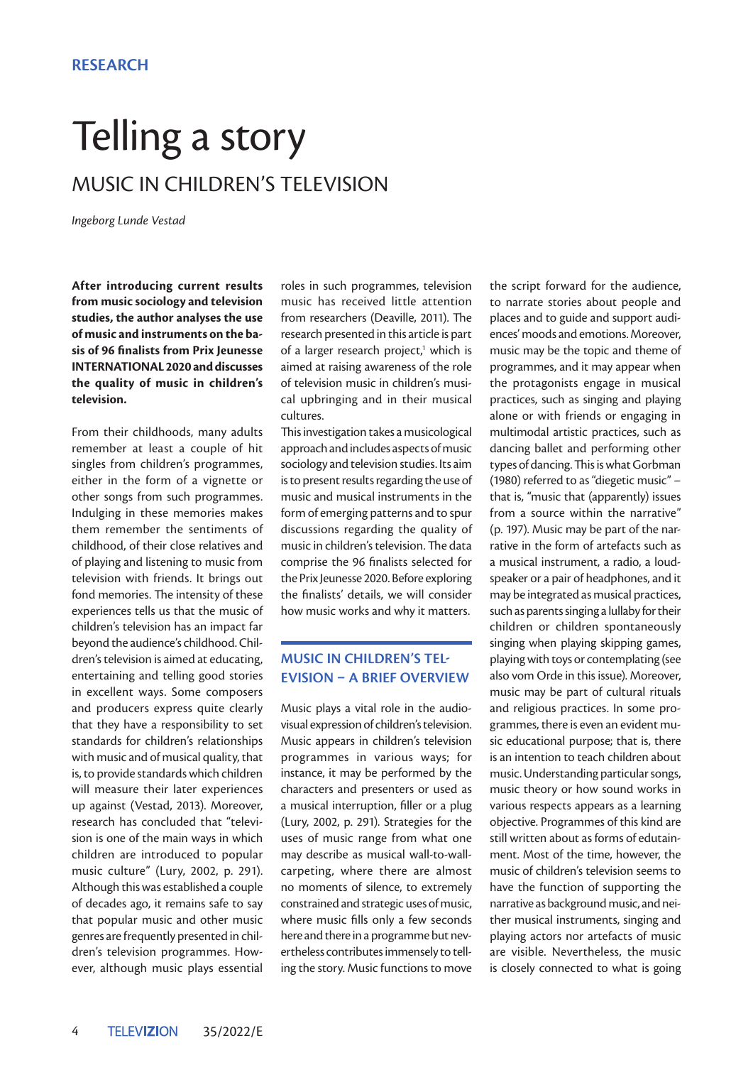# Telling a story MUSIC IN CHILDREN'S TELEVISION

*Ingeborg Lunde Vestad*

**After introducing current results from music sociology and television studies, the author analyses the use of music and instruments on the basis of 96 finalists from Prix Jeunesse INTERNATIONAL 2020 and discusses the quality of music in children's television.** 

From their childhoods, many adults remember at least a couple of hit singles from children's programmes, either in the form of a vignette or other songs from such programmes. Indulging in these memories makes them remember the sentiments of childhood, of their close relatives and of playing and listening to music from television with friends. It brings out fond memories. The intensity of these experiences tells us that the music of children's television has an impact far beyond the audience's childhood. Children's television is aimed at educating, entertaining and telling good stories in excellent ways. Some composers and producers express quite clearly that they have a responsibility to set standards for children's relationships with music and of musical quality, that is, to provide standards which children will measure their later experiences up against (Vestad, 2013). Moreover, research has concluded that "television is one of the main ways in which children are introduced to popular music culture" (Lury, 2002, p. 291). Although this was established a couple of decades ago, it remains safe to say that popular music and other music genres are frequently presented in children's television programmes. However, although music plays essential

roles in such programmes, television music has received little attention from researchers (Deaville, 2011). The research presented in this article is part of a larger research project,<sup>1</sup> which is aimed at raising awareness of the role of television music in children's musical upbringing and in their musical cultures.

This investigation takes a musicological approach and includes aspects of music sociology and television studies. Its aim is to present results regarding the use of music and musical instruments in the form of emerging patterns and to spur discussions regarding the quality of music in children's television. The data comprise the 96 finalists selected for the Prix Jeunesse 2020. Before exploring the finalists' details, we will consider how music works and why it matters.

## **MUSIC IN CHILDREN'S TEL-EVISION – A BRIEF OVERVIEW**

Music plays a vital role in the audiovisual expression of children's television. Music appears in children's television programmes in various ways; for instance, it may be performed by the characters and presenters or used as a musical interruption, filler or a plug (Lury, 2002, p. 291). Strategies for the uses of music range from what one may describe as musical wall-to-wallcarpeting, where there are almost no moments of silence, to extremely constrained and strategic uses of music, where music fills only a few seconds here and there in a programme but nevertheless contributes immensely to telling the story. Music functions to move the script forward for the audience, to narrate stories about people and places and to guide and support audiences' moods and emotions. Moreover, music may be the topic and theme of programmes, and it may appear when the protagonists engage in musical practices, such as singing and playing alone or with friends or engaging in multimodal artistic practices, such as dancing ballet and performing other types of dancing. This is what Gorbman (1980) referred to as "diegetic music" – that is, "music that (apparently) issues from a source within the narrative" (p. 197). Music may be part of the narrative in the form of artefacts such as a musical instrument, a radio, a loudspeaker or a pair of headphones, and it may be integrated as musical practices, such as parents singing a lullaby for their children or children spontaneously singing when playing skipping games, playing with toys or contemplating (see also vom Orde in this issue). Moreover, music may be part of cultural rituals and religious practices. In some programmes, there is even an evident music educational purpose; that is, there is an intention to teach children about music. Understanding particular songs, music theory or how sound works in various respects appears as a learning objective. Programmes of this kind are still written about as forms of edutainment. Most of the time, however, the music of children's television seems to have the function of supporting the narrative as background music, and neither musical instruments, singing and playing actors nor artefacts of music are visible. Nevertheless, the music is closely connected to what is going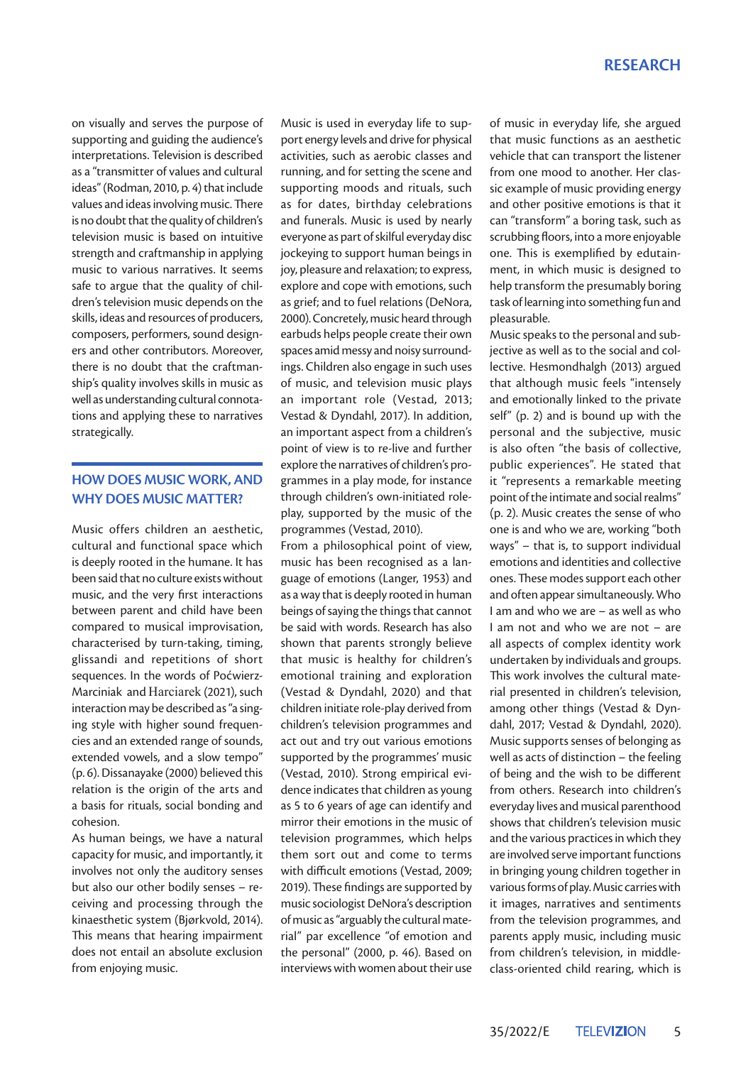#### **RESEARCH**

on visually and serves the purpose of supporting and guiding the audience's interpretations. Television is described as a "transmitter of values and cultural ideas" (Rodman, 2010, p. 4) that include values and ideas involving music. There is no doubt that the quality of children's television music is based on intuitive strength and craftmanship in applying music to various narratives. It seems safe to argue that the quality of children's television music depends on the skills, ideas and resources of producers, composers, performers, sound designers and other contributors. Moreover, there is no doubt that the craftmanship's quality involves skills in music as well as understanding cultural connotations and applying these to narratives strategically.

## **HOW DOES MUSIC WORK, AND WHY DOES MUSIC MATTER?**

Music offers children an aesthetic, cultural and functional space which is deeply rooted in the humane. It has been said that no culture exists without music, and the very first interactions between parent and child have been compared to musical improvisation, characterised by turn-taking, timing, glissandi and repetitions of short sequences. In the words of Poćwierz-Marciniak and Harciarek (2021), such interaction may be described as "a singing style with higher sound frequencies and an extended range of sounds, extended vowels, and a slow tempo" (p. 6). Dissanayake (2000) believed this relation is the origin of the arts and a basis for rituals, social bonding and cohesion.

As human beings, we have a natural capacity for music, and importantly, it involves not only the auditory senses but also our other bodily senses – receiving and processing through the kinaesthetic system (Bjørkvold, 2014). This means that hearing impairment does not entail an absolute exclusion from enjoying music.

Music is used in everyday life to support energy levels and drive for physical activities, such as aerobic classes and running, and for setting the scene and supporting moods and rituals, such as for dates, birthday celebrations and funerals. Music is used by nearly everyone as part of skilful everyday disc jockeying to support human beings in joy, pleasure and relaxation; to express, explore and cope with emotions, such as grief; and to fuel relations (DeNora, 2000). Concretely, music heard through earbuds helps people create their own spaces amid messy and noisy surroundings. Children also engage in such uses of music, and television music plays an important role (Vestad, 2013; Vestad & Dyndahl, 2017). In addition, an important aspect from a children's point of view is to re-live and further explore the narratives of children's programmes in a play mode, for instance through children's own-initiated roleplay, supported by the music of the programmes (Vestad, 2010).

From a philosophical point of view, music has been recognised as a language of emotions (Langer, 1953) and as a way that is deeply rooted in human beings of saying the things that cannot be said with words. Research has also shown that parents strongly believe that music is healthy for children's emotional training and exploration (Vestad & Dyndahl, 2020) and that children initiate role-play derived from children's television programmes and act out and try out various emotions supported by the programmes' music (Vestad, 2010). Strong empirical evidence indicates that children as young as 5 to 6 years of age can identify and mirror their emotions in the music of television programmes, which helps them sort out and come to terms with difficult emotions (Vestad, 2009; 2019). These findings are supported by music sociologist DeNora's description of music as "arguably the cultural material" par excellence "of emotion and the personal" (2000, p. 46). Based on interviews with women about their use

of music in everyday life, she argued that music functions as an aesthetic vehicle that can transport the listener from one mood to another. Her classic example of music providing energy and other positive emotions is that it can "transform" a boring task, such as scrubbing floors, into a more enjoyable one. This is exemplified by edutainment, in which music is designed to help transform the presumably boring task of learning into something fun and pleasurable.

Music speaks to the personal and subjective as well as to the social and collective. Hesmondhalgh (2013) argued that although music feels "intensely and emotionally linked to the private self" (p. 2) and is bound up with the personal and the subjective, music is also often "the basis of collective, public experiences". He stated that it "represents a remarkable meeting point of the intimate and social realms" (p. 2). Music creates the sense of who one is and who we are, working "both ways" – that is, to support individual emotions and identities and collective ones. These modes support each other and often appear simultaneously. Who I am and who we are – as well as who I am not and who we are not – are all aspects of complex identity work undertaken by individuals and groups. This work involves the cultural material presented in children's television, among other things (Vestad & Dyndahl, 2017; Vestad & Dyndahl, 2020). Music supports senses of belonging as well as acts of distinction – the feeling of being and the wish to be different from others. Research into children's everyday lives and musical parenthood shows that children's television music and the various practices in which they are involved serve important functions in bringing young children together in various forms of play. Music carries with it images, narratives and sentiments from the television programmes, and parents apply music, including music from children's television, in middleclass-oriented child rearing, which is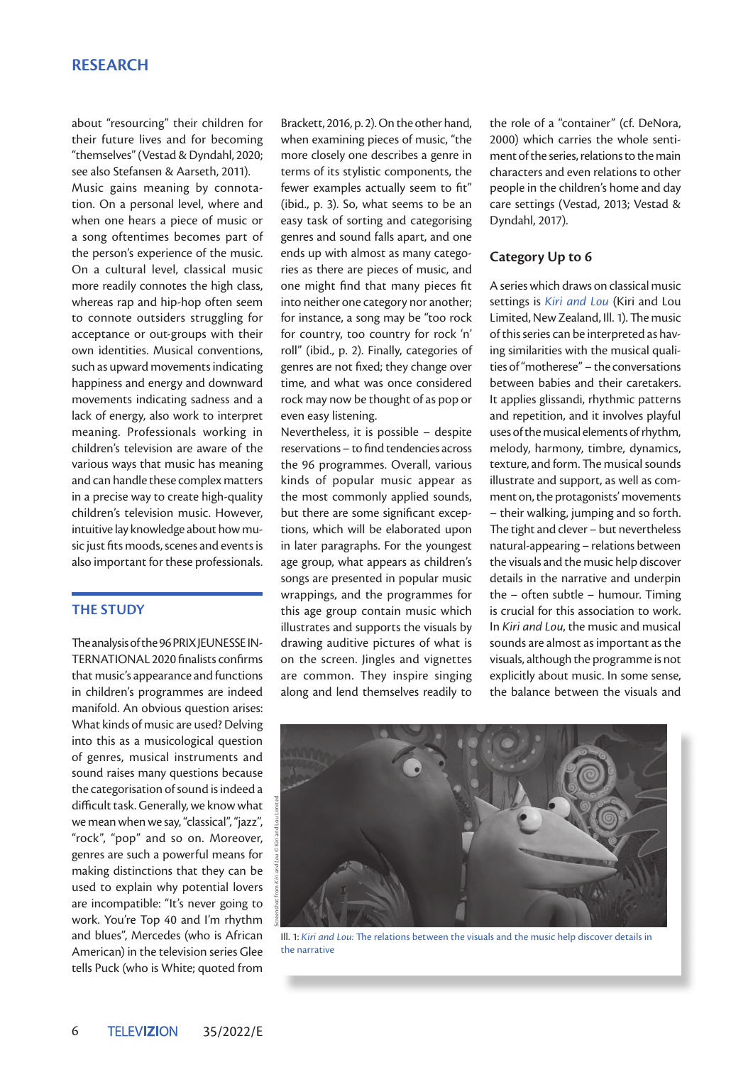## **RESEARCH**

about "resourcing" their children for their future lives and for becoming "themselves" (Vestad & Dyndahl, 2020; see also Stefansen & Aarseth, 2011).

Music gains meaning by connotation. On a personal level, where and when one hears a piece of music or a song oftentimes becomes part of the person's experience of the music. On a cultural level, classical music more readily connotes the high class, whereas rap and hip-hop often seem to connote outsiders struggling for acceptance or out-groups with their own identities. Musical conventions, such as upward movements indicating happiness and energy and downward movements indicating sadness and a lack of energy, also work to interpret meaning. Professionals working in children's television are aware of the various ways that music has meaning and can handle these complex matters in a precise way to create high-quality children's television music. However, intuitive lay knowledge about how music just fits moods, scenes and events is also important for these professionals.

#### **THE STUDY**

The analysis of the 96 PRIX JEUNESSE IN-TERNATIONAL 2020 finalists confirms that music's appearance and functions in children's programmes are indeed manifold. An obvious question arises: What kinds of music are used? Delving into this as a musicological question of genres, musical instruments and sound raises many questions because the categorisation of sound is indeed a difficult task. Generally, we know what we mean when we say, "classical", "jazz", "rock", "pop" and so on. Moreover, genres are such a powerful means for making distinctions that they can be used to explain why potential lovers are incompatible: "It's never going to work. You're Top 40 and I'm rhythm and blues", Mercedes (who is African American) in the television series Glee tells Puck (who is White; quoted from

Brackett, 2016, p. 2). On the other hand, when examining pieces of music, "the more closely one describes a genre in terms of its stylistic components, the fewer examples actually seem to fit" (ibid., p. 3). So, what seems to be an easy task of sorting and categorising genres and sound falls apart, and one ends up with almost as many categories as there are pieces of music, and one might find that many pieces fit into neither one category nor another; for instance, a song may be "too rock for country, too country for rock 'n' roll" (ibid., p. 2). Finally, categories of genres are not fixed; they change over time, and what was once considered rock may now be thought of as pop or even easy listening.

Nevertheless, it is possible – despite reservations – to find tendencies across the 96 programmes. Overall, various kinds of popular music appear as the most commonly applied sounds, but there are some significant exceptions, which will be elaborated upon in later paragraphs. For the youngest age group, what appears as children's songs are presented in popular music wrappings, and the programmes for this age group contain music which illustrates and supports the visuals by drawing auditive pictures of what is on the screen. Jingles and vignettes are common. They inspire singing along and lend themselves readily to

the role of a "container" (cf. DeNora, 2000) which carries the whole sentiment of the series, relations to the main characters and even relations to other people in the children's home and day care settings (Vestad, 2013; Vestad & Dyndahl, 2017).

#### **Category Up to 6**

A series which draws on classical music settings is *Kiri and Lou* (Kiri and Lou Limited, New Zealand, Ill. 1). The music of this series can be interpreted as having similarities with the musical qualities of "motherese" – the conversations between babies and their caretakers. It applies glissandi, rhythmic patterns and repetition, and it involves playful uses of the musical elements of rhythm, melody, harmony, timbre, dynamics, texture, and form. The musical sounds illustrate and support, as well as comment on, the protagonists' movements – their walking, jumping and so forth. The tight and clever – but nevertheless natural-appearing – relations between the visuals and the music help discover details in the narrative and underpin the – often subtle – humour. Timing is crucial for this association to work. In *Kiri and Lou*, the music and musical sounds are almost as important as the visuals, although the programme is not explicitly about music. In some sense, the balance between the visuals and



Ill. 1: *Kiri and Lou:* The relations between the visuals and the music help discover details in the narrative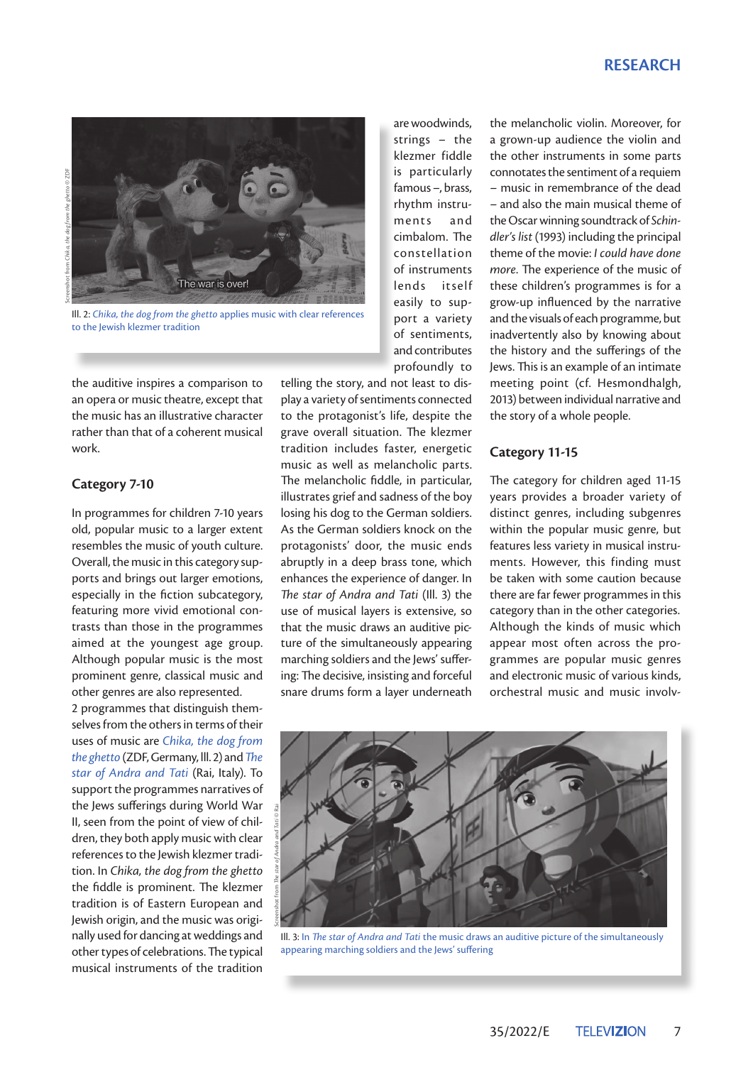### **RESEARCH**





Ill. 2: *Chika, the dog from the ghetto* applies music with clear references to the Jewish klezmer tradition

the auditive inspires a comparison to an opera or music theatre, except that the music has an illustrative character rather than that of a coherent musical work.

#### **Category 7-10**

In programmes for children 7-10 years old, popular music to a larger extent resembles the music of youth culture. Overall, the music in this category supports and brings out larger emotions, especially in the fiction subcategory, featuring more vivid emotional contrasts than those in the programmes aimed at the youngest age group. Although popular music is the most prominent genre, classical music and other genres are also represented.

2 programmes that distinguish themselves from the others in terms of their uses of music are *Chika, the dog from the ghetto* (ZDF, Germany, lll. 2) and *The star of Andra and Tati* (Rai, Italy). To support the programmes narratives of the Jews sufferings during World War II, seen from the point of view of children, they both apply music with clear references to the Jewish klezmer tradition. In *Chika, the dog from the ghetto* the fiddle is prominent. The klezmer tradition is of Eastern European and Jewish origin, and the music was originally used for dancing at weddings and other types of celebrations. The typical musical instruments of the tradition

telling the story, and not least to display a variety of sentiments connected to the protagonist's life, despite the grave overall situation. The klezmer tradition includes faster, energetic music as well as melancholic parts. The melancholic fiddle, in particular, illustrates grief and sadness of the boy losing his dog to the German soldiers. As the German soldiers knock on the protagonists' door, the music ends abruptly in a deep brass tone, which enhances the experience of danger. In *The star of Andra and Tati* (Ill. 3) the use of musical layers is extensive, so that the music draws an auditive picture of the simultaneously appearing marching soldiers and the Jews' suffering: The decisive, insisting and forceful snare drums form a layer underneath

are woodwinds, strings – the klezmer fiddle is particularly famous –, brass, rhythm instruments and cimbalom. The constellation of instruments lends itself easily to support a variety of sentiments, and contributes profoundly to

the melancholic violin. Moreover, for a grown-up audience the violin and the other instruments in some parts connotates the sentiment of a requiem – music in remembrance of the dead – and also the main musical theme of the Oscar winning soundtrack of *Schindler's list* (1993) including the principal theme of the movie: *I could have done more*. The experience of the music of these children's programmes is for a grow-up influenced by the narrative and the visuals of each programme, but inadvertently also by knowing about the history and the sufferings of the Jews. This is an example of an intimate meeting point (cf. Hesmondhalgh, 2013) between individual narrative and the story of a whole people.

#### **Category 11-15**

The category for children aged 11-15 years provides a broader variety of distinct genres, including subgenres within the popular music genre, but features less variety in musical instruments. However, this finding must be taken with some caution because there are far fewer programmes in this category than in the other categories. Although the kinds of music which appear most often across the programmes are popular music genres and electronic music of various kinds, orchestral music and music involv-



Ill. 3: In *The star of Andra and Tati* the music draws an auditive picture of the simultaneously appearing marching soldiers and the Jews' suffering